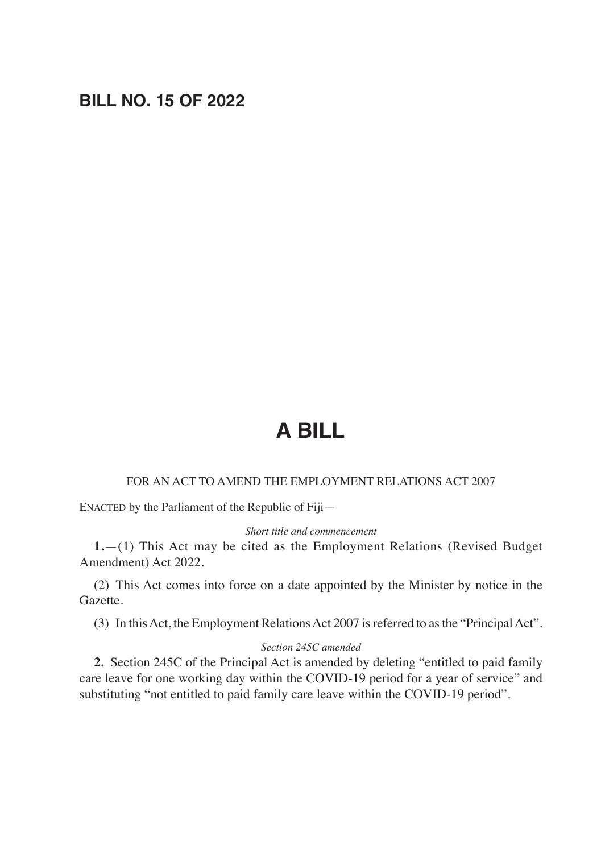## **BILL NO. 15 OF 2022**

# **A BILL**

#### FOR AN ACT TO AMEND THE EMPLOYMENT RELATIONS ACT 2007

ENACTED by the Parliament of the Republic of Fiji—

#### *Short title and commencement*

**1.**—(1) This Act may be cited as the Employment Relations (Revised Budget Amendment) Act 2022.

(2) This Act comes into force on a date appointed by the Minister by notice in the Gazette.

(3) In this Act, the Employment Relations Act 2007 is referred to as the "Principal Act".

#### *Section 245C amended*

**2.** Section 245C of the Principal Act is amended by deleting "entitled to paid family care leave for one working day within the COVID-19 period for a year of service" and substituting "not entitled to paid family care leave within the COVID-19 period".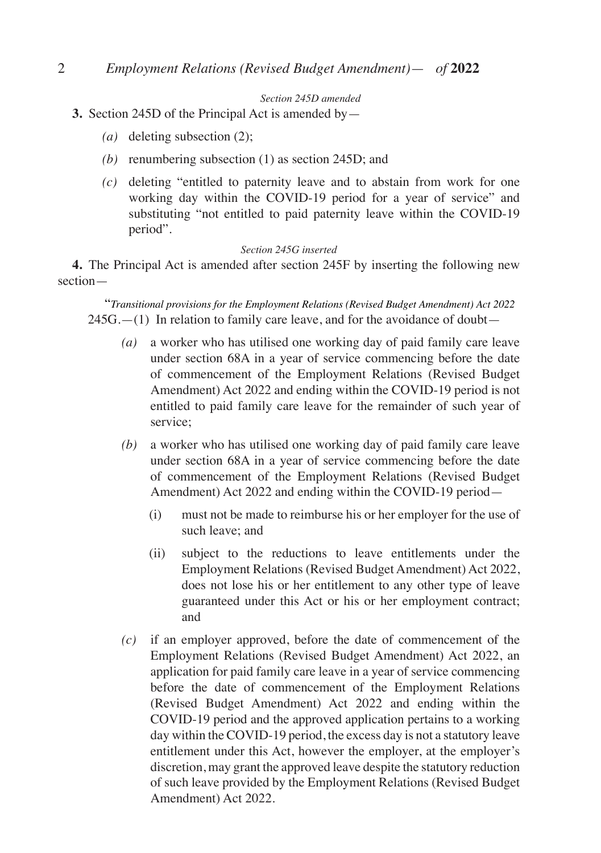## 2 *Employment Relations (Revised Budget Amendment)*— *of* **2022**

*Section 245D amended*

#### **3.** Section 245D of the Principal Act is amended by—

- *(a)* deleting subsection (2);
- *(b)* renumbering subsection (1) as section 245D; and
- *(c)* deleting "entitled to paternity leave and to abstain from work for one working day within the COVID-19 period for a year of service" and substituting "not entitled to paid paternity leave within the COVID-19 period".

#### *Section 245G inserted*

**4.** The Principal Act is amended after section 245F by inserting the following new section—

"*Transitional provisions for the Employment Relations (Revised Budget Amendment) Act 2022*  $245G$ .—(1) In relation to family care leave, and for the avoidance of doubt—

- *(a)* a worker who has utilised one working day of paid family care leave under section 68A in a year of service commencing before the date of commencement of the Employment Relations (Revised Budget Amendment) Act 2022 and ending within the COVID-19 period is not entitled to paid family care leave for the remainder of such year of service;
- *(b)* a worker who has utilised one working day of paid family care leave under section 68A in a year of service commencing before the date of commencement of the Employment Relations (Revised Budget Amendment) Act 2022 and ending within the COVID-19 period—
	- (i) must not be made to reimburse his or her employer for the use of such leave; and
	- (ii) subject to the reductions to leave entitlements under the Employment Relations (Revised Budget Amendment) Act 2022, does not lose his or her entitlement to any other type of leave guaranteed under this Act or his or her employment contract; and
- *(c)* if an employer approved, before the date of commencement of the Employment Relations (Revised Budget Amendment) Act 2022, an application for paid family care leave in a year of service commencing before the date of commencement of the Employment Relations (Revised Budget Amendment) Act 2022 and ending within the COVID-19 period and the approved application pertains to a working day within the COVID-19 period, the excess day is not a statutory leave entitlement under this Act, however the employer, at the employer's discretion, may grant the approved leave despite the statutory reduction of such leave provided by the Employment Relations (Revised Budget Amendment) Act 2022.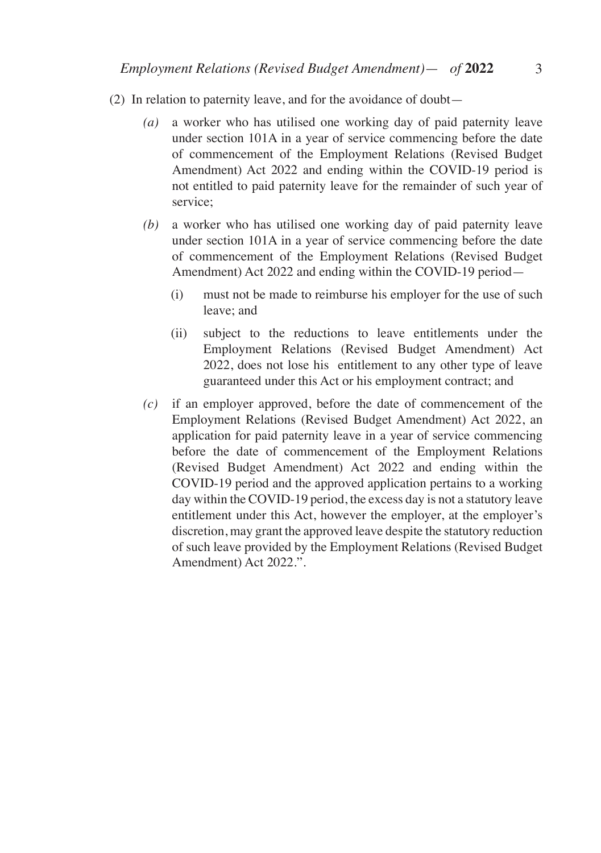- (2) In relation to paternity leave, and for the avoidance of doubt—
	- *(a)* a worker who has utilised one working day of paid paternity leave under section 101A in a year of service commencing before the date of commencement of the Employment Relations (Revised Budget Amendment) Act 2022 and ending within the COVID-19 period is not entitled to paid paternity leave for the remainder of such year of service;
	- *(b)* a worker who has utilised one working day of paid paternity leave under section 101A in a year of service commencing before the date of commencement of the Employment Relations (Revised Budget Amendment) Act 2022 and ending within the COVID-19 period—
		- (i) must not be made to reimburse his employer for the use of such leave; and
		- (ii) subject to the reductions to leave entitlements under the Employment Relations (Revised Budget Amendment) Act 2022, does not lose his entitlement to any other type of leave guaranteed under this Act or his employment contract; and
	- *(c)* if an employer approved, before the date of commencement of the Employment Relations (Revised Budget Amendment) Act 2022, an application for paid paternity leave in a year of service commencing before the date of commencement of the Employment Relations (Revised Budget Amendment) Act 2022 and ending within the COVID-19 period and the approved application pertains to a working day within the COVID-19 period, the excess day is not a statutory leave entitlement under this Act, however the employer, at the employer's discretion, may grant the approved leave despite the statutory reduction of such leave provided by the Employment Relations (Revised Budget Amendment) Act 2022.".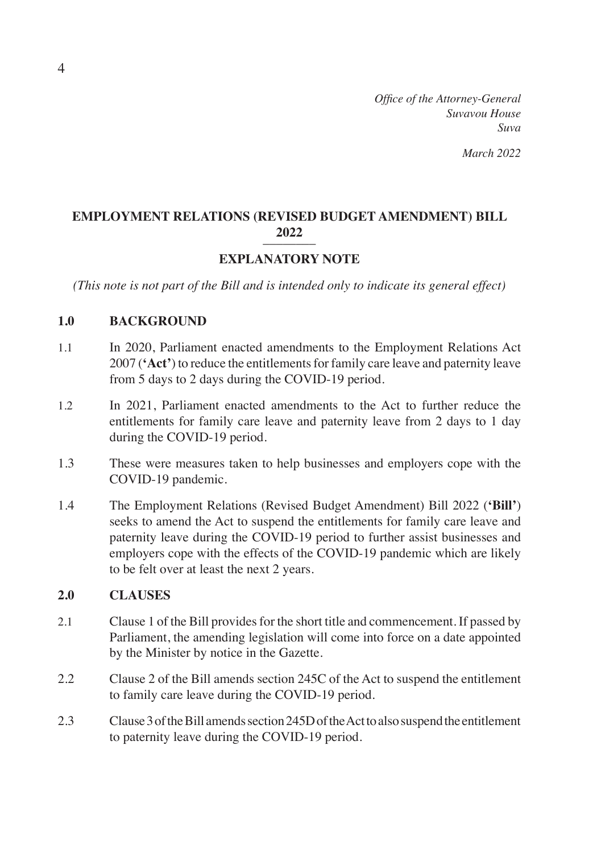*Office of the Attorney-General Suvavou House Suva*

*March 2022*

## **EMPLOYMENT RELATIONS (REVISED BUDGET AMENDMENT) BILL <sup>2022</sup>** ––––––––

## **EXPLANATORY NOTE**

*(This note is not part of the Bill and is intended only to indicate its general effect)*

## **1.0 BACKGROUND**

- 1.1 In 2020, Parliament enacted amendments to the Employment Relations Act 2007 (**'Act'**) to reduce the entitlements for family care leave and paternity leave from 5 days to 2 days during the COVID-19 period.
- 1.2 In 2021, Parliament enacted amendments to the Act to further reduce the entitlements for family care leave and paternity leave from 2 days to 1 day during the COVID-19 period.
- 1.3 These were measures taken to help businesses and employers cope with the COVID-19 pandemic.
- 1.4 The Employment Relations (Revised Budget Amendment) Bill 2022 (**'Bill'**) seeks to amend the Act to suspend the entitlements for family care leave and paternity leave during the COVID-19 period to further assist businesses and employers cope with the effects of the COVID-19 pandemic which are likely to be felt over at least the next 2 years.

## **2.0 CLAUSES**

- 2.1 Clause 1 of the Bill provides for the short title and commencement. If passed by Parliament, the amending legislation will come into force on a date appointed by the Minister by notice in the Gazette.
- 2.2 Clause 2 of the Bill amends section 245C of the Act to suspend the entitlement to family care leave during the COVID-19 period.
- 2.3 Clause 3 of the Bill amends section 245D of the Act to also suspend the entitlement to paternity leave during the COVID-19 period.